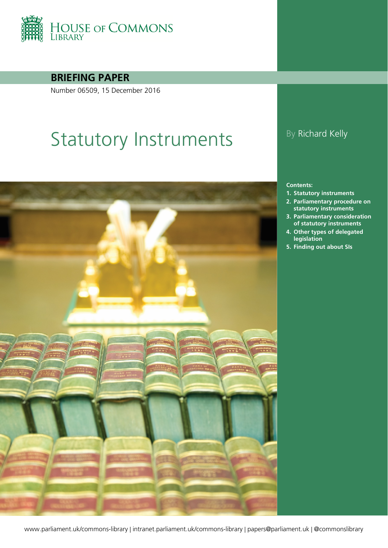

#### **BRIEFING PAPER**

Number 06509, 15 December 2016

# Statutory Instruments By Richard Kelly



#### **Contents:**

- **1. [Statutory instruments](#page-3-0)**
- **2. [Parliamentary procedure on](#page-6-0)  [statutory instruments](#page-6-0)**
- **3. [Parliamentary consideration](#page-12-0)  [of statutory instruments](#page-12-0)**
- **4. [Other types of delegated](#page-17-0)  [legislation](#page-17-0)**
- **5. [Finding out about SIs](#page-22-0)**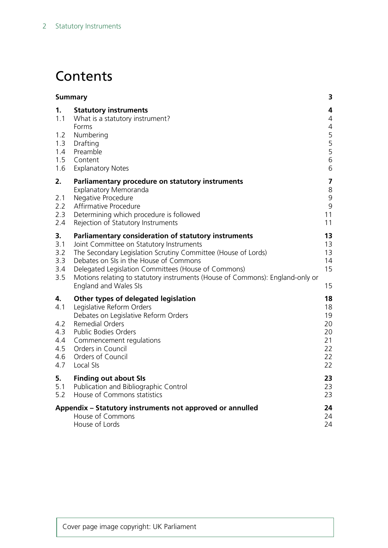# **Contents**

| <b>Summary</b>                                      |                                                                                                                                                                                                                                                                                                                                                                              | 3                                                                     |
|-----------------------------------------------------|------------------------------------------------------------------------------------------------------------------------------------------------------------------------------------------------------------------------------------------------------------------------------------------------------------------------------------------------------------------------------|-----------------------------------------------------------------------|
| 1.<br>1.1<br>1.2<br>1.3<br>1.4<br>1.5<br>1.6        | <b>Statutory instruments</b><br>What is a statutory instrument?<br>Forms<br>Numbering<br>Drafting<br>Preamble<br>Content<br><b>Explanatory Notes</b>                                                                                                                                                                                                                         | 4<br>$\overline{4}$<br>$\overline{4}$<br>5<br>$\frac{5}{5}$<br>6<br>6 |
| 2.<br>2.1<br>2.2<br>2.3<br>2.4                      | Parliamentary procedure on statutory instruments<br>Explanatory Memoranda<br>Negative Procedure<br>Affirmative Procedure<br>Determining which procedure is followed<br>Rejection of Statutory Instruments                                                                                                                                                                    | $\overline{\mathbf{z}}$<br>8<br>9<br>9<br>11<br>11                    |
| 3.<br>3.1<br>3.2<br>3.3<br>3.4<br>3.5               | Parliamentary consideration of statutory instruments<br>Joint Committee on Statutory Instruments<br>The Secondary Legislation Scrutiny Committee (House of Lords)<br>Debates on SIs in the House of Commons<br>Delegated Legislation Committees (House of Commons)<br>Motions relating to statutory instruments (House of Commons): England-only or<br>England and Wales SIs | 13<br>13<br>13<br>14<br>15<br>15                                      |
| 4.<br>4.1<br>4.2<br>4.3<br>4.4<br>4.5<br>4.6<br>4.7 | Other types of delegated legislation<br>Legislative Reform Orders<br>Debates on Legislative Reform Orders<br><b>Remedial Orders</b><br>Public Bodies Orders<br>Commencement regulations<br>Orders in Council<br>Orders of Council<br>Local SIs                                                                                                                               | 18<br>18<br>19<br>20<br>20<br>21<br>22<br>22<br>22                    |
| 5.<br>5.1<br>5.2                                    | <b>Finding out about SIs</b><br>Publication and Bibliographic Control<br>House of Commons statistics                                                                                                                                                                                                                                                                         | 23<br>23<br>23                                                        |
|                                                     | Appendix - Statutory instruments not approved or annulled<br>House of Commons<br>House of Lords                                                                                                                                                                                                                                                                              | 24<br>24<br>24                                                        |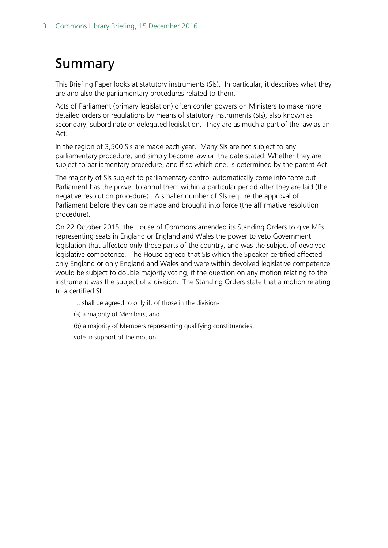# <span id="page-2-0"></span>Summary

This Briefing Paper looks at statutory instruments (SIs). In particular, it describes what they are and also the parliamentary procedures related to them.

Acts of Parliament (primary legislation) often confer powers on Ministers to make more detailed orders or regulations by means of statutory instruments (SIs), also known as secondary, subordinate or delegated legislation. They are as much a part of the law as an Act.

In the region of 3,500 SIs are made each year. Many SIs are not subject to any parliamentary procedure, and simply become law on the date stated. Whether they are subject to parliamentary procedure, and if so which one, is determined by the parent Act.

The majority of SIs subject to parliamentary control automatically come into force but Parliament has the power to annul them within a particular period after they are laid (the negative resolution procedure). A smaller number of SIs require the approval of Parliament before they can be made and brought into force (the affirmative resolution procedure).

On 22 October 2015, the House of Commons amended its Standing Orders to give MPs representing seats in England or England and Wales the power to veto Government legislation that affected only those parts of the country, and was the subject of devolved legislative competence. The House agreed that SIs which the Speaker certified affected only England or only England and Wales and were within devolved legislative competence would be subject to double majority voting, if the question on any motion relating to the instrument was the subject of a division. The Standing Orders state that a motion relating to a certified SI

… shall be agreed to only if, of those in the division-

(a) a majority of Members, and

(b) a majority of Members representing qualifying constituencies,

vote in support of the motion.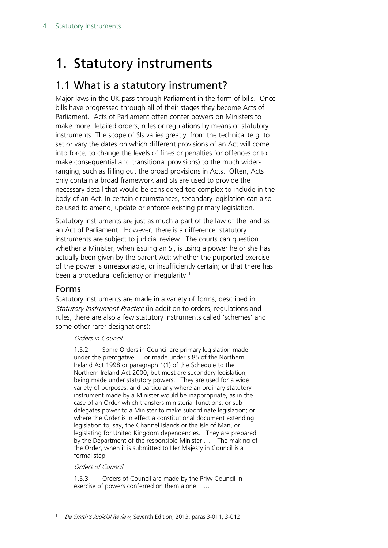# <span id="page-3-0"></span>1. Statutory instruments

## <span id="page-3-1"></span>1.1 What is a statutory instrument?

Major laws in the UK pass through Parliament in the form of bills. Once bills have progressed through all of their stages they become Acts of Parliament. Acts of Parliament often confer powers on Ministers to make more detailed orders, rules or regulations by means of statutory instruments. The scope of SIs varies greatly, from the technical (e.g. to set or vary the dates on which different provisions of an Act will come into force, to change the levels of fines or penalties for offences or to make consequential and transitional provisions) to the much widerranging, such as filling out the broad provisions in Acts. Often, Acts only contain a broad framework and SIs are used to provide the necessary detail that would be considered too complex to include in the body of an Act. In certain circumstances, secondary legislation can also be used to amend, update or enforce existing primary legislation.

Statutory instruments are just as much a part of the law of the land as an Act of Parliament. However, there is a difference: statutory instruments are subject to judicial review. The courts can question whether a Minister, when issuing an SI, is using a power he or she has actually been given by the parent Act; whether the purported exercise of the power is unreasonable, or insufficiently certain; or that there has been a procedural deficiency or irregularity.<sup>[1](#page-3-3)</sup>

#### <span id="page-3-2"></span>Forms

Statutory instruments are made in a variety of forms, described in Statutory Instrument Practice (in addition to orders, regulations and rules, there are also a few statutory instruments called 'schemes' and some other rarer designations):

#### Orders in Council

1.5.2 Some Orders in Council are primary legislation made under the prerogative … or made under s.85 of the Northern Ireland Act 1998 or paragraph 1(1) of the Schedule to the Northern Ireland Act 2000, but most are secondary legislation, being made under statutory powers. They are used for a wide variety of purposes, and particularly where an ordinary statutory instrument made by a Minister would be inappropriate, as in the case of an Order which transfers ministerial functions, or subdelegates power to a Minister to make subordinate legislation; or where the Order is in effect a constitutional document extending legislation to, say, the Channel Islands or the Isle of Man, or legislating for United Kingdom dependencies. They are prepared by the Department of the responsible Minister …. The making of the Order, when it is submitted to Her Majesty in Council is a formal step.

#### Orders of Council

<span id="page-3-3"></span>1.5.3 Orders of Council are made by the Privy Council in exercise of powers conferred on them alone. …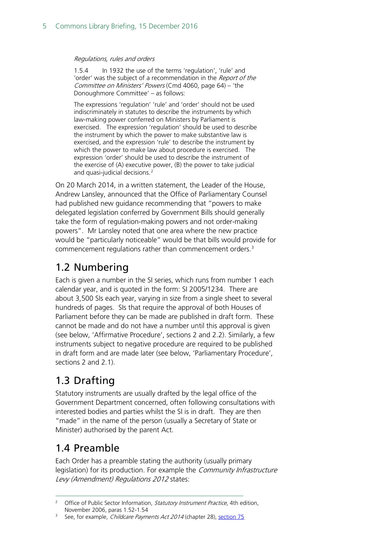#### Regulations, rules and orders

1.5.4 In 1932 the use of the terms 'regulation', 'rule' and 'order' was the subject of a recommendation in the Report of the Committee on Ministers' Powers (Cmd 4060, page 64) – 'the Donoughmore Committee' – as follows:

The expressions 'regulation' 'rule' and 'order' should not be used indiscriminately in statutes to describe the instruments by which law-making power conferred on Ministers by Parliament is exercised. The expression 'regulation' should be used to describe the instrument by which the power to make substantive law is exercised, and the expression 'rule' to describe the instrument by which the power to make law about procedure is exercised. The expression 'order' should be used to describe the instrument of the exercise of (A) executive power, (B) the power to take judicial and quasi-judicial decisions.[2](#page-4-3)

On 20 March 2014, in a written statement, the Leader of the House, Andrew Lansley, announced that the Office of Parliamentary Counsel had published new guidance recommending that "powers to make delegated legislation conferred by Government Bills should generally take the form of regulation-making powers and not order-making powers". Mr Lansley noted that one area where the new practice would be "particularly noticeable" would be that bills would provide for commencement regulations rather than commencement orders.[3](#page-4-4)

## <span id="page-4-0"></span>1.2 Numbering

Each is given a number in the SI series, which runs from number 1 each calendar year, and is quoted in the form: SI 2005/1234. There are about 3,500 SIs each year, varying in size from a single sheet to several hundreds of pages. SIs that require the approval of both Houses of Parliament before they can be made are published in draft form. These cannot be made and do not have a number until this approval is given (see below, 'Affirmative Procedure', sections 2 and 2.2). Similarly, a few instruments subject to negative procedure are required to be published in draft form and are made later (see below, 'Parliamentary Procedure', sections 2 and 2.1).

## <span id="page-4-1"></span>1.3 Drafting

Statutory instruments are usually drafted by the legal office of the Government Department concerned, often following consultations with interested bodies and parties whilst the SI is in draft. They are then "made" in the name of the person (usually a Secretary of State or Minister) authorised by the parent Act.

## <span id="page-4-2"></span>1.4 Preamble

Each Order has a preamble stating the authority (usually primary legislation) for its production. For example the *Community Infrastructure* Levy (Amendment) Regulations 2012 states:

<span id="page-4-3"></span><sup>&</sup>lt;sup>2</sup> Office of Public Sector Information, Statutory Instrument Practice, 4th edition, November 2006, paras 1.52-1.54

<span id="page-4-4"></span><sup>&</sup>lt;sup>3</sup> See, for example, *Childcare Payments Act 2014* (chapter 28), [section 75](http://www.legislation.gov.uk/ukpga/2014/28/section/75/enacted)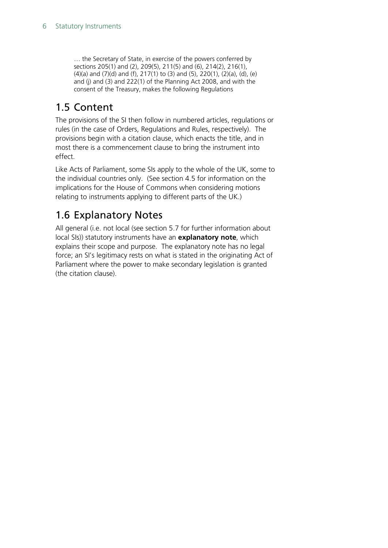… the Secretary of State, in exercise of the powers conferred by sections 205(1) and (2), 209(5), 211(5) and (6), 214(2), 216(1), (4)(a) and (7)(d) and (f), 217(1) to (3) and (5), 220(1), (2)(a), (d), (e) and (j) and (3) and 222(1) of the Planning Act 2008, and with the consent of the Treasury, makes the following Regulations

## <span id="page-5-0"></span>1.5 Content

The provisions of the SI then follow in numbered articles, regulations or rules (in the case of Orders, Regulations and Rules, respectively). The provisions begin with a citation clause, which enacts the title, and in most there is a commencement clause to bring the instrument into effect.

Like Acts of Parliament, some SIs apply to the whole of the UK, some to the individual countries only. (See section 4.5 for information on the implications for the House of Commons when considering motions relating to instruments applying to different parts of the UK.)

## <span id="page-5-1"></span>1.6 Explanatory Notes

All general (i.e. not local (see section 5.7 for further information about local SIs)) statutory instruments have an **explanatory note**, which explains their scope and purpose. The explanatory note has no legal force; an SI's legitimacy rests on what is stated in the originating Act of Parliament where the power to make secondary legislation is granted (the citation clause).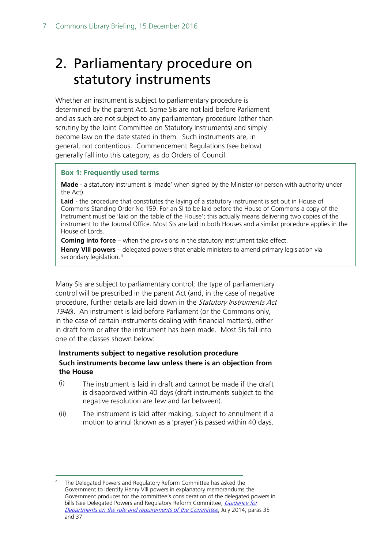# <span id="page-6-0"></span>2. Parliamentary procedure on statutory instruments

Whether an instrument is subject to parliamentary procedure is determined by the parent Act. Some SIs are not laid before Parliament and as such are not subject to any parliamentary procedure (other than scrutiny by the Joint Committee on Statutory Instruments) and simply become law on the date stated in them. Such instruments are, in general, not contentious. Commencement Regulations (see below) generally fall into this category, as do Orders of Council.

#### **Box 1: Frequently used terms**

**Made** - a statutory instrument is 'made' when signed by the Minister (or person with authority under the Act).

**Laid** - the procedure that constitutes the laying of a statutory instrument is set out in House of Commons Standing Order No 159. For an SI to be laid before the House of Commons a copy of the Instrument must be 'laid on the table of the House'; this actually means delivering two copies of the instrument to the Journal Office. Most SIs are laid in both Houses and a similar procedure applies in the House of Lords.

**Coming into force** – when the provisions in the statutory instrument take effect.

**Henry VIII powers** – delegated powers that enable ministers to amend primary legislation via secondary legislation.<sup>[4](#page-6-1)</sup>

Many SIs are subject to parliamentary control; the type of parliamentary control will be prescribed in the parent Act (and, in the case of negative procedure, further details are laid down in the Statutory Instruments Act 1946). An instrument is laid before Parliament (or the Commons only, in the case of certain instruments dealing with financial matters), either in draft form or after the instrument has been made. Most SIs fall into one of the classes shown below:

#### **Instruments subject to negative resolution procedure Such instruments become law unless there is an objection from the House**

- $(i)$  The instrument is laid in draft and cannot be made if the draft is disapproved within 40 days (draft instruments subject to the negative resolution are few and far between).
- (ii) The instrument is laid after making, subject to annulment if a motion to annul (known as a 'prayer') is passed within 40 days.

<span id="page-6-1"></span>The Delegated Powers and Regulatory Reform Committee has asked the Government to identify Henry VIII powers in explanatory memorandums the Government produces for the committee's consideration of the delegated powers in bills (see Delegated Powers and Regulatory Reform Committee, Guidance for [Departments on the role and requirements of the Committee](http://www.parliament.uk/documents/DPRR/2014-15/Guidance%20for%20Departments/Guidance-for-Departments.pdf), July 2014, paras 35 and 37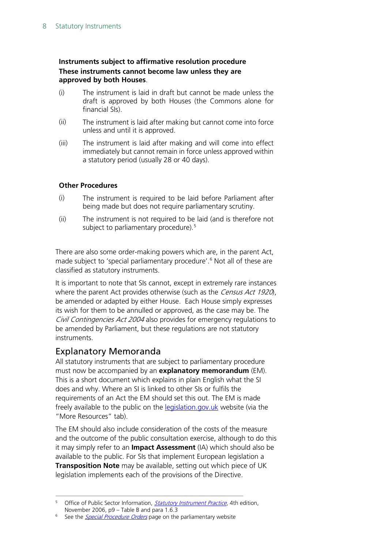#### **Instruments subject to affirmative resolution procedure These instruments cannot become law unless they are approved by both Houses**.

- (i) The instrument is laid in draft but cannot be made unless the draft is approved by both Houses (the Commons alone for financial SIs).
- (ii) The instrument is laid after making but cannot come into force unless and until it is approved.
- (iii) The instrument is laid after making and will come into effect immediately but cannot remain in force unless approved within a statutory period (usually 28 or 40 days).

#### **Other Procedures**

- (i) The instrument is required to be laid before Parliament after being made but does not require parliamentary scrutiny.
- (ii) The instrument is not required to be laid (and is therefore not subject to parliamentary procedure).<sup>[5](#page-7-1)</sup>

There are also some order-making powers which are, in the parent Act, made subject to 'special parliamentary procedure'.<sup>[6](#page-7-2)</sup> Not all of these are classified as statutory instruments.

It is important to note that SIs cannot, except in extremely rare instances where the parent Act provides otherwise (such as the *Census Act 1920*), be amended or adapted by either House. Each House simply expresses its wish for them to be annulled or approved, as the case may be. The Civil Contingencies Act 2004 also provides for emergency regulations to be amended by Parliament, but these regulations are not statutory instruments.

#### <span id="page-7-0"></span>Explanatory Memoranda

All statutory instruments that are subject to parliamentary procedure must now be accompanied by an **explanatory memorandum** (EM). This is a short document which explains in plain English what the SI does and why. Where an SI is linked to other SIs or fulfils the requirements of an Act the EM should set this out. The EM is made freely available to the public on the **legislation.gov.uk** website (via the "More Resources" tab).

The EM should also include consideration of the costs of the measure and the outcome of the public consultation exercise, although to do this it may simply refer to an **Impact Assessment** (IA) which should also be available to the public. For SIs that implement European legislation a **Transposition Note** may be available, setting out which piece of UK legislation implements each of the provisions of the Directive.

<span id="page-7-1"></span><sup>&</sup>lt;sup>5</sup> Office of Public Sector Information, **[Statutory Instrument Practice](http://www.opsi.gov.uk/si/si-practice.doc)**, 4th edition, November 2006, p9 – Table B and para 1.6.3

<span id="page-7-2"></span><sup>&</sup>lt;sup>6</sup> See the *[Special Procedure Orders](http://www.parliament.uk/business/bills-and-legislation/secondary-legislation/special-procedure-orders/)* page on the parliamentary website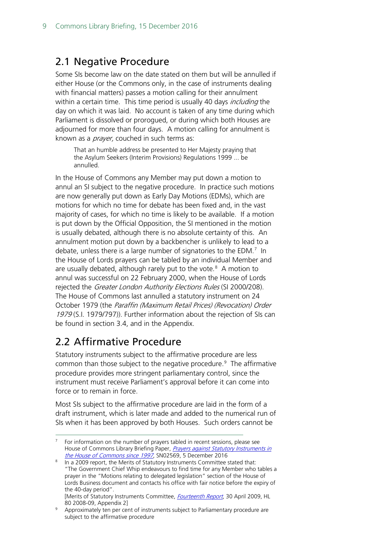## <span id="page-8-0"></span>2.1 Negative Procedure

Some SIs become law on the date stated on them but will be annulled if either House (or the Commons only, in the case of instruments dealing with financial matters) passes a motion calling for their annulment within a certain time. This time period is usually 40 days *including* the day on which it was laid. No account is taken of any time during which Parliament is dissolved or prorogued, or during which both Houses are adjourned for more than four days. A motion calling for annulment is known as a *prayer*, couched in such terms as:

That an humble address be presented to Her Majesty praying that the Asylum Seekers (Interim Provisions) Regulations 1999 ... be annulled.

In the House of Commons any Member may put down a motion to annul an SI subject to the negative procedure. In practice such motions are now generally put down as Early Day Motions (EDMs), which are motions for which no time for debate has been fixed and, in the vast majority of cases, for which no time is likely to be available. If a motion is put down by the Official Opposition, the SI mentioned in the motion is usually debated, although there is no absolute certainty of this. An annulment motion put down by a backbencher is unlikely to lead to a debate, unless there is a large number of signatories to the EDM. $<sup>7</sup>$  $<sup>7</sup>$  $<sup>7</sup>$  In</sup> the House of Lords prayers can be tabled by an individual Member and are usually debated, although rarely put to the vote.<sup>[8](#page-8-3)</sup> A motion to annul was successful on 22 February 2000, when the House of Lords rejected the *Greater London Authority Elections Rules* (SI 2000/208). The House of Commons last annulled a statutory instrument on 24 October 1979 (the Paraffin (Maximum Retail Prices) (Revocation) Order 1979 (S.I. 1979/797)). Further information about the rejection of SIs can be found in section 3.4, and in the Appendix.

## <span id="page-8-1"></span>2.2 Affirmative Procedure

Statutory instruments subject to the affirmative procedure are less common than those subject to the negative procedure.<sup>[9](#page-8-4)</sup> The affirmative procedure provides more stringent parliamentary control, since the instrument must receive Parliament's approval before it can come into force or to remain in force.

Most SIs subject to the affirmative procedure are laid in the form of a draft instrument, which is later made and added to the numerical run of SIs when it has been approved by both Houses. Such orders cannot be

<span id="page-8-2"></span> <sup>7</sup> For information on the number of prayers tabled in recent sessions, please see House of Commons Library Briefing Paper, Prayers against Statutory Instruments in [the House of Commons since 1997](https://researchbriefings.parliament.uk/ResearchBriefing/Summary/SN02569), SN02569, 5 December 2016

<span id="page-8-3"></span><sup>8</sup> In a 2009 report, the Merits of Statutory Instruments Committee stated that: "The Government Chief Whip endeavours to find time for any Member who tables a prayer in the "Motions relating to delegated legislation" section of the House of Lords Business document and contacts his office with fair notice before the expiry of the 40-day period". [Merits of Statutory Instruments Committee, *[Fourteenth Report](http://www.publications.parliament.uk/pa/ld200809/ldselect/ldmerit/80/80.pdf)*, 30 April 2009, HL

<sup>80 2008-09,</sup> Appendix 2]

<span id="page-8-4"></span><sup>9</sup> Approximately ten per cent of instruments subject to Parliamentary procedure are subject to the affirmative procedure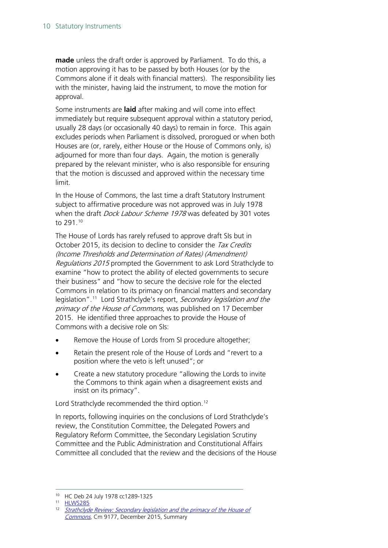**made** unless the draft order is approved by Parliament. To do this, a motion approving it has to be passed by both Houses (or by the Commons alone if it deals with financial matters). The responsibility lies with the minister, having laid the instrument, to move the motion for approval.

Some instruments are **laid** after making and will come into effect immediately but require subsequent approval within a statutory period, usually 28 days (or occasionally 40 days) to remain in force. This again excludes periods when Parliament is dissolved, prorogued or when both Houses are (or, rarely, either House or the House of Commons only, is) adjourned for more than four days. Again, the motion is generally prepared by the relevant minister, who is also responsible for ensuring that the motion is discussed and approved within the necessary time limit.

In the House of Commons, the last time a draft Statutory Instrument subject to affirmative procedure was not approved was in July 1978 when the draft *Dock Labour Scheme 1978* was defeated by 301 votes to 291.[10](#page-9-0)

The House of Lords has rarely refused to approve draft SIs but in October 2015, its decision to decline to consider the Tax Credits (Income Thresholds and Determination of Rates) (Amendment) Regulations 2015 prompted the Government to ask Lord Strathclyde to examine "how to protect the ability of elected governments to secure their business" and "how to secure the decisive role for the elected Commons in relation to its primacy on financial matters and secondary legislation".<sup>[11](#page-9-1)</sup> Lord Strathclyde's report, Secondary legislation and the primacy of the House of Commons, was published on 17 December 2015. He identified three approaches to provide the House of Commons with a decisive role on SIs:

- Remove the House of Lords from SI procedure altogether;
- Retain the present role of the House of Lords and "revert to a position where the veto is left unused"; or
- Create a new statutory procedure "allowing the Lords to invite the Commons to think again when a disagreement exists and insist on its primacy".

Lord Strathclyde recommended the third option.<sup>[12](#page-9-2)</sup>

In reports, following inquiries on the conclusions of Lord Strathclyde's review, the Constitution Committee, the Delegated Powers and Regulatory Reform Committee, the Secondary Legislation Scrutiny Committee and the Public Administration and Constitutional Affairs Committee all concluded that the review and the decisions of the House

 <sup>10</sup> HC Deb 24 July 1978 cc1289-1325

<span id="page-9-1"></span><span id="page-9-0"></span><sup>11</sup> [HLWS285](http://www.parliament.uk/business/publications/written-questions-answers-statements/written-statement/Lords/2015-11-04/HLWS285/)

<span id="page-9-2"></span><sup>&</sup>lt;sup>12</sup> Strathclyde Review: Secondary legislation and the primacy of the House of [Commons](https://www.gov.uk/government/uploads/system/uploads/attachment_data/file/486790/53088_Cm_9177_Web_Accessible.pdf), Cm 9177, December 2015, Summary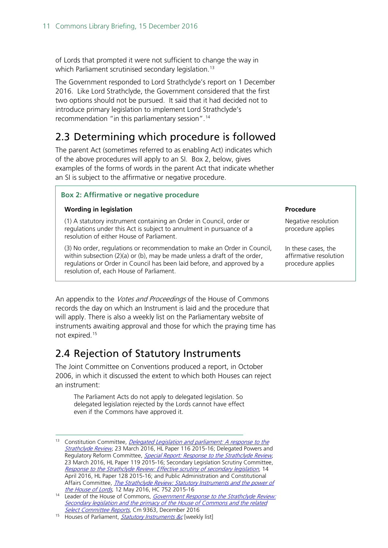of Lords that prompted it were not sufficient to change the way in which Parliament scrutinised secondary legislation.<sup>[13](#page-10-2)</sup>

The Government responded to Lord Strathclyde's report on 1 December 2016. Like Lord Strathclyde, the Government considered that the first two options should not be pursued. It said that it had decided not to introduce primary legislation to implement Lord Strathclyde's recommendation "in this parliamentary session".[14](#page-10-3)

## <span id="page-10-0"></span>2.3 Determining which procedure is followed

The parent Act (sometimes referred to as enabling Act) indicates which of the above procedures will apply to an SI. Box 2, below, gives examples of the forms of words in the parent Act that indicate whether an SI is subject to the affirmative or negative procedure.

#### **Box 2: Affirmative or negative procedure**

#### **Wording in legislation Procedure 2018**

(1) A statutory instrument containing an Order in Council, order or regulations under this Act is subject to annulment in pursuance of a resolution of either House of Parliament.

(3) No order, regulations or recommendation to make an Order in Council, within subsection (2)(a) or (b), may be made unless a draft of the order, regulations or Order in Council has been laid before, and approved by a resolution of, each House of Parliament.

Negative resolution procedure applies

In these cases, the affirmative resolution procedure applies

An appendix to the *Votes and Proceedings* of the House of Commons records the day on which an Instrument is laid and the procedure that will apply. There is also a weekly list on the Parliamentary website of instruments awaiting approval and those for which the praying time has not expired.[15](#page-10-4)

## <span id="page-10-1"></span>2.4 Rejection of Statutory Instruments

The Joint Committee on Conventions produced a report, in October 2006, in which it discussed the extent to which both Houses can reject an instrument:

The Parliament Acts do not apply to delegated legislation. So delegated legislation rejected by the Lords cannot have effect even if the Commons have approved it.

<span id="page-10-2"></span><sup>&</sup>lt;sup>13</sup> Constitution Committee, *Delegated Legislation and parliament: A response to the* [Strathclyde Review](http://www.publications.parliament.uk/pa/ld201516/ldselect/ldconst/116/116.pdf), 23 March 2016, HL Paper 116 2015-16; Delegated Powers and Regulatory Reform Committee, [Special Report: Response to the Strathclyde Review](http://www.publications.parliament.uk/pa/ld201516/ldselect/lddelreg/119/119.pdf), 23 March 2016, HL Paper 119 2015-16; Secondary Legislation Scrutiny Committee, [Response to the Strathclyde Review: Effective scrutiny of secondary legislation](http://www.publications.parliament.uk/pa/ld201516/ldselect/ldsecleg/128/128.pdf), 14 April 2016, HL Paper 128 2015-16; and Public Administration and Constitutional Affairs Committee, *The Strathclyde Review: Statutory Instruments and the power of* [the House of Lords](http://www.publications.parliament.uk/pa/cm201516/cmselect/cmpubadm/752/752.pdf), 12 May 2016, HC 752 2015-16

<span id="page-10-3"></span><sup>&</sup>lt;sup>14</sup> Leader of the House of Commons, *Government Response to the Strathclyde Review:* Secondary legislation and the primacy of the House of Commons and the related [Select Committee Reports](http://qna.files.parliament.uk/ws-attachments/649307/original/Strathclyde%20response.pdf)</u>, Cm 9363, December 2016

<span id="page-10-4"></span><sup>&</sup>lt;sup>15</sup> Houses of Parliament, **[Statutory Instruments &c](http://www.publications.parliament.uk/pa/cm/cmsilist/cmsilist.htm)** [weekly list]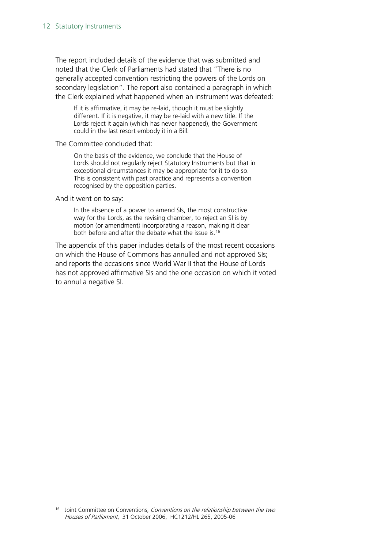The report included details of the evidence that was submitted and noted that the Clerk of Parliaments had stated that "There is no generally accepted convention restricting the powers of the Lords on secondary legislation". The report also contained a paragraph in which the Clerk explained what happened when an instrument was defeated:

If it is affirmative, it may be re-laid, though it must be slightly different. If it is negative, it may be re-laid with a new title. If the Lords reject it again (which has never happened), the Government could in the last resort embody it in a Bill.

The Committee concluded that:

On the basis of the evidence, we conclude that the House of Lords should not regularly reject Statutory Instruments but that in exceptional circumstances it may be appropriate for it to do so. This is consistent with past practice and represents a convention recognised by the opposition parties.

And it went on to say:

In the absence of a power to amend SIs, the most constructive way for the Lords, as the revising chamber, to reject an SI is by motion (or amendment) incorporating a reason, making it clear both before and after the debate what the issue is.<sup>[16](#page-11-0)</sup>

The appendix of this paper includes details of the most recent occasions on which the House of Commons has annulled and not approved SIs; and reports the occasions since World War II that the House of Lords has not approved affirmative SIs and the one occasion on which it voted to annul a negative SI.

<span id="page-11-0"></span> $16$  Joint Committee on Conventions, Conventions on the relationship between the two Houses of Parliament, 31 October 2006, HC1212/HL 265, 2005-06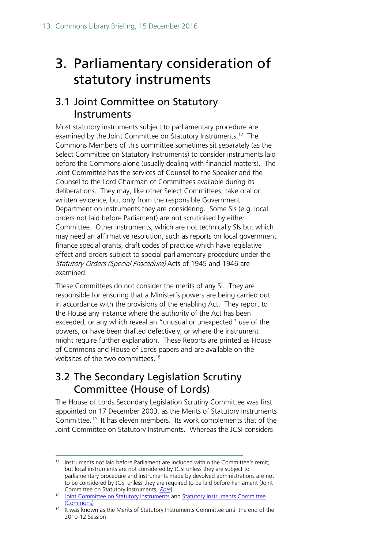# <span id="page-12-0"></span>3. Parliamentary consideration of statutory instruments

## <span id="page-12-1"></span>3.1 Joint Committee on Statutory Instruments

Most statutory instruments subject to parliamentary procedure are examined by the Joint Committee on Statutory Instruments.<sup>[17](#page-12-3)</sup> The Commons Members of this committee sometimes sit separately (as the Select Committee on Statutory Instruments) to consider instruments laid before the Commons alone (usually dealing with financial matters). The Joint Committee has the services of Counsel to the Speaker and the Counsel to the Lord Chairman of Committees available during its deliberations. They may, like other Select Committees, take oral or written evidence, but only from the responsible Government Department on instruments they are considering. Some SIs (e.g. local orders not laid before Parliament) are not scrutinised by either Committee. Other instruments, which are not technically SIs but which may need an affirmative resolution, such as reports on local government finance special grants, draft codes of practice which have legislative effect and orders subject to special parliamentary procedure under the Statutory Orders (Special Procedure) Acts of 1945 and 1946 are examined.

These Committees do not consider the merits of any SI. They are responsible for ensuring that a Minister's powers are being carried out in accordance with the provisions of the enabling Act. They report to the House any instance where the authority of the Act has been exceeded, or any which reveal an "unusual or unexpected" use of the powers, or have been drafted defectively, or where the instrument might require further explanation. These Reports are printed as House of Commons and House of Lords papers and are available on the websites of the two committees.<sup>[18](#page-12-4)</sup>

## <span id="page-12-2"></span>3.2 The Secondary Legislation Scrutiny Committee (House of Lords)

The House of Lords Secondary Legislation Scrutiny Committee was first appointed on 17 December 2003, as the Merits of Statutory Instruments Committee.<sup>[19](#page-12-5)</sup> It has eleven members. Its work complements that of the Joint Committee on Statutory Instruments. Whereas the JCSI considers

<span id="page-12-3"></span><sup>&</sup>lt;sup>17</sup> Instruments not laid before Parliament are included within the Committee's remit; but local instruments are not considered by JCSI unless they are subject to parliamentary procedure and instruments made by devolved administrations are not to be considered by JCSI unless they are required to be laid before Parliament [Joint Committee on Statutory Instruments, [Role](http://www.parliament.uk/business/committees/committees-a-z/joint-select/statutory-instruments/role/)

<span id="page-12-4"></span><sup>&</sup>lt;sup>18</sup> [Joint Committee on Statutory Instruments](http://www.parliament.uk/business/committees/committees-a-z/joint-select/statutory-instruments/) and Statutory Instruments Committee [\(Commons\)](http://www.parliament.uk/business/committees/committees-a-z/commons-select/statutory-instruments-committee/)

<span id="page-12-5"></span><sup>&</sup>lt;sup>19</sup> It was known as the Merits of Statutory Instruments Committee until the end of the 2010-12 Session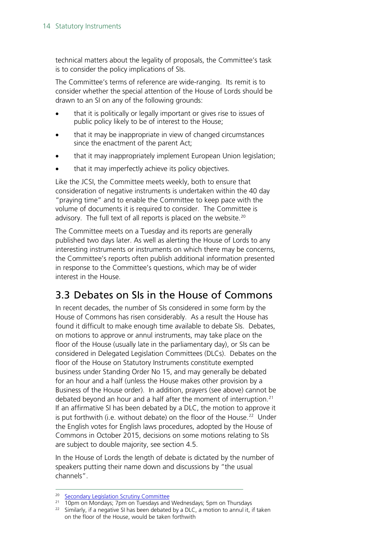technical matters about the legality of proposals, the Committee's task is to consider the policy implications of SIs.

The Committee's terms of reference are wide-ranging. Its remit is to consider whether the special attention of the House of Lords should be drawn to an SI on any of the following grounds:

- that it is politically or legally important or gives rise to issues of public policy likely to be of interest to the House;
- that it may be inappropriate in view of changed circumstances since the enactment of the parent Act;
- that it may inappropriately implement European Union legislation;
- that it may imperfectly achieve its policy objectives.

Like the JCSI, the Committee meets weekly, both to ensure that consideration of negative instruments is undertaken within the 40 day "praying time" and to enable the Committee to keep pace with the volume of documents it is required to consider. The Committee is advisory. The full text of all reports is placed on the website.<sup>[20](#page-13-1)</sup>

The Committee meets on a Tuesday and its reports are generally published two days later. As well as alerting the House of Lords to any interesting instruments or instruments on which there may be concerns, the Committee's reports often publish additional information presented in response to the Committee's questions, which may be of wider interest in the House.

## <span id="page-13-0"></span>3.3 Debates on SIs in the House of Commons

In recent decades, the number of SIs considered in some form by the House of Commons has risen considerably. As a result the House has found it difficult to make enough time available to debate SIs. Debates, on motions to approve or annul instruments, may take place on the floor of the House (usually late in the parliamentary day), or SIs can be considered in Delegated Legislation Committees (DLCs). Debates on the floor of the House on Statutory Instruments constitute exempted business under Standing Order No 15, and may generally be debated for an hour and a half (unless the House makes other provision by a Business of the House order). In addition, prayers (see above) cannot be debated beyond an hour and a half after the moment of interruption. $21$ If an affirmative SI has been debated by a DLC, the motion to approve it is put forthwith (i.e. without debate) on the floor of the House.<sup>[22](#page-13-3)</sup> Under the English votes for English laws procedures, adopted by the House of Commons in October 2015, decisions on some motions relating to SIs are subject to double majority, see section 4.5.

In the House of Lords the length of debate is dictated by the number of speakers putting their name down and discussions by "the usual channels".

<sup>&</sup>lt;sup>20</sup> [Secondary Legislation Scrutiny Committee](http://www.parliament.uk/business/committees/committees-a-z/lords-select/secondary-legislation-scrutiny-committee/)

<span id="page-13-2"></span><span id="page-13-1"></span><sup>21 10</sup>pm on Mondays; 7pm on Tuesdays and Wednesdays; 5pm on Thursdays

<span id="page-13-3"></span><sup>&</sup>lt;sup>22</sup> Similarly, if a negative SI has been debated by a DLC, a motion to annul it, if taken on the floor of the House, would be taken forthwith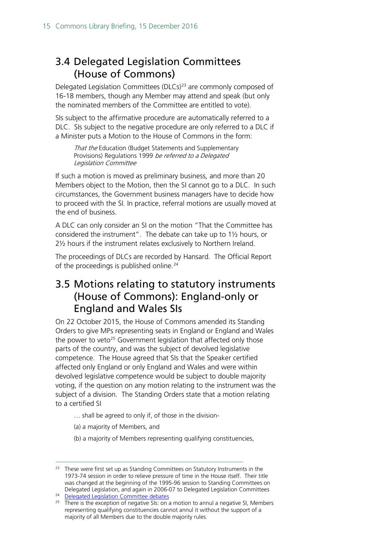## <span id="page-14-0"></span>3.4 Delegated Legislation Committees (House of Commons)

Delegated Legislation Committees (DLCs)<sup>[23](#page-14-2)</sup> are commonly composed of 16-18 members, though any Member may attend and speak (but only the nominated members of the Committee are entitled to vote).

SIs subject to the affirmative procedure are automatically referred to a DLC. SIs subject to the negative procedure are only referred to a DLC if a Minister puts a Motion to the House of Commons in the form:

That the Education (Budget Statements and Supplementary Provisions) Regulations 1999 be referred to a Delegated Legislation Committee

If such a motion is moved as preliminary business, and more than 20 Members object to the Motion, then the SI cannot go to a DLC. In such circumstances, the Government business managers have to decide how to proceed with the SI. In practice, referral motions are usually moved at the end of business.

A DLC can only consider an SI on the motion "That the Committee has considered the instrument". The debate can take up to 1½ hours, or 2½ hours if the instrument relates exclusively to Northern Ireland.

The proceedings of DLCs are recorded by Hansard. The Official Report of the proceedings is published online.<sup>24</sup>

## <span id="page-14-1"></span>3.5 Motions relating to statutory instruments (House of Commons): England-only or England and Wales SIs

On 22 October 2015, the House of Commons amended its Standing Orders to give MPs representing seats in England or England and Wales the power to veto<sup>[25](#page-14-4)</sup> Government legislation that affected only those parts of the country, and was the subject of devolved legislative competence. The House agreed that SIs that the Speaker certified affected only England or only England and Wales and were within devolved legislative competence would be subject to double majority voting, if the question on any motion relating to the instrument was the subject of a division. The Standing Orders state that a motion relating to a certified SI

- … shall be agreed to only if, of those in the division-
- (a) a majority of Members, and
- (b) a majority of Members representing qualifying constituencies,

<span id="page-14-2"></span><sup>&</sup>lt;sup>23</sup> These were first set up as Standing Committees on Statutory Instruments in the 1973-74 session in order to relieve pressure of time in the House itself. Their title was changed at the beginning of the 1995-96 session to Standing Committees on Delegated Legislation, and again in 2006-07 to Delegated Legislation Committees

<span id="page-14-3"></span><sup>&</sup>lt;sup>24</sup> [Delegated Legislation Committee debates](http://www.parliament.uk/business/publications/hansard/commons/gc-debates/delegated-legislation-committee/)

<span id="page-14-4"></span><sup>&</sup>lt;sup>25</sup> There is the exception of negative SIs: on a motion to annul a negative SI, Members representing qualifying constituencies cannot annul it without the support of a majority of all Members due to the double majority rules.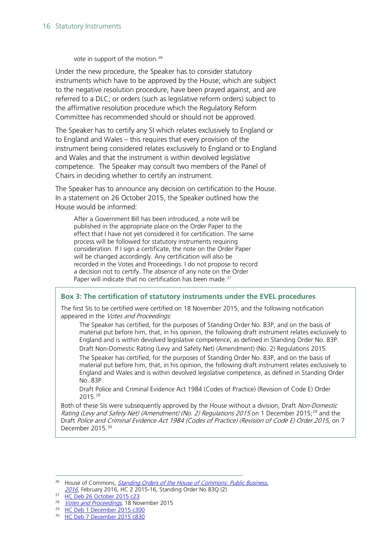vote in support of the motion.<sup>[26](#page-15-0)</sup>

Under the new procedure, the Speaker has to consider statutory instruments which have to be approved by the House; which are subject to the negative resolution procedure, have been prayed against, and are referred to a DLC; or orders (such as legislative reform orders) subject to the affirmative resolution procedure which the Regulatory Reform Committee has recommended should or should not be approved.

The Speaker has to certify any SI which relates exclusively to England or to England and Wales – this requires that every provision of the instrument being considered relates exclusively to England or to England and Wales and that the instrument is within devolved legislative competence. The Speaker may consult two members of the Panel of Chairs in deciding whether to certify an instrument.

The Speaker has to announce any decision on certification to the House. In a statement on 26 October 2015, the Speaker outlined how the House would be informed:

After a Government Bill has been introduced, a note will be published in the appropriate place on the Order Paper to the effect that I have not yet considered it for certification. The same process will be followed for statutory instruments requiring consideration. If I sign a certificate, the note on the Order Paper will be changed accordingly. Any certification will also be recorded in the Votes and Proceedings. I do not propose to record a decision not to certify. The absence of any note on the Order Paper will indicate that no certification has been made.<sup>[27](#page-15-1)</sup>

#### **Box 3: The certification of statutory instruments under the EVEL procedures**

The first SIs to be certified were certified on 18 November 2015, and the following notification appeared in the Votes and Proceedings.

The Speaker has certified, for the purposes of Standing Order No. 83P, and on the basis of material put before him, that, in his opinion, the following draft instrument relates exclusively to England and is within devolved legislative competence, as defined in Standing Order No. 83P. Draft Non-Domestic Rating (Levy and Safety Net) (Amendment) (No. 2) Regulations 2015.

The Speaker has certified, for the purposes of Standing Order No. 83P, and on the basis of material put before him, that, in his opinion, the following draft instrument relates exclusively to England and Wales and is within devolved legislative competence, as defined in Standing Order No. 83P.

Draft Police and Criminal Evidence Act 1984 (Codes of Practice) (Revision of Code E) Order 2015.[28](#page-15-2)

Both of these SIs were subsequently approved by the House without a division, Draft Non-Domestic Rating (Levy and Safety Net) (Amendment) (No. 2) Regulations 2015 on 1 December 2015;<sup>[29](#page-15-3)</sup> and the Draft Police and Criminal Evidence Act 1984 (Codes of Practice) (Revision of Code E) Order 2015, on 7 December 2015.<sup>[30](#page-15-4)</sup>

<span id="page-15-3"></span><sup>29</sup> [HC Deb 1 December 2015 c300](http://www.publications.parliament.uk/pa/cm201516/cmhansrd/cm151201/debtext/151201-0004.htm#15120151000004)

<span id="page-15-0"></span><sup>&</sup>lt;sup>26</sup> House of Commons, *Standing Orders of the House of Commons: Public Business*, [2016](http://www.publications.parliament.uk/pa/cm201516/cmstords/0002/so-2.pdf), February 2016, HC 2 2015-16, Standing Order No 83Q (2)

<span id="page-15-1"></span><sup>27</sup> [HC Deb 26 October 2015 c23](http://www.publications.parliament.uk/pa/cm201516/cmhansrd/cm151026/debtext/151026-0001.htm#1510264000001)

<span id="page-15-2"></span><sup>&</sup>lt;sup>28</sup> *[Votes and Proceedings](http://www.publications.parliament.uk/pa/cm201516/cmvote/151118v01.htm)*, 18 November 2015

<span id="page-15-4"></span><sup>30</sup> [HC Deb 7 December 2015 c830](http://www.publications.parliament.uk/pa/cm201516/cmhansrd/cm151207/debtext/151207-0004.htm#1512082000021)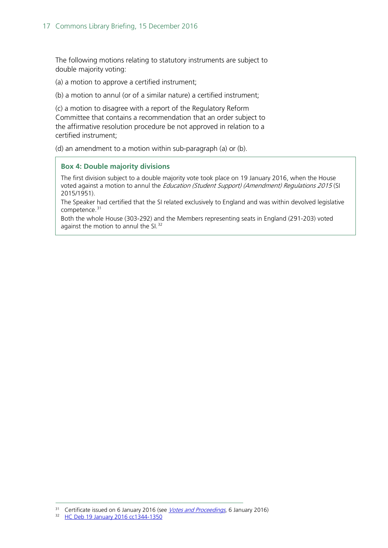The following motions relating to statutory instruments are subject to double majority voting:

(a) a motion to approve a certified instrument;

(b) a motion to annul (or of a similar nature) a certified instrument;

(c) a motion to disagree with a report of the Regulatory Reform Committee that contains a recommendation that an order subject to the affirmative resolution procedure be not approved in relation to a certified instrument;

(d) an amendment to a motion within sub-paragraph (a) or (b).

#### **Box 4: Double majority divisions**

The first division subject to a double majority vote took place on 19 January 2016, when the House voted against a motion to annul the *Education (Student Support) (Amendment) Regulations 2015* (SI 2015/1951).

The Speaker had certified that the SI related exclusively to England and was within devolved legislative competence.<sup>[31](#page-16-0)</sup>

Both the whole House (303-292) and the Members representing seats in England (291-203) voted against the motion to annul the SI.<sup>[32](#page-16-1)</sup>

<span id="page-16-1"></span><span id="page-16-0"></span><sup>&</sup>lt;sup>31</sup> Certificate issued on 6 January 2016 (see [Votes and Proceedings](http://www.publications.parliament.uk/pa/cm201516/cmvote/160106v01.htm), 6 January 2016)

<sup>32</sup> [HC Deb 19 January 2016 cc1344-1350](http://www.publications.parliament.uk/pa/cm201516/cmhansrd/cm160119/debtext/160119-0003.htm#16011949000002)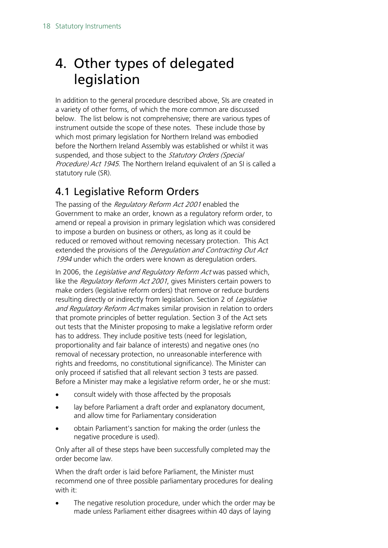# <span id="page-17-0"></span>4. Other types of delegated legislation

In addition to the general procedure described above, SIs are created in a variety of other forms, of which the more common are discussed below. The list below is not comprehensive; there are various types of instrument outside the scope of these notes. These include those by which most primary legislation for Northern Ireland was embodied before the Northern Ireland Assembly was established or whilst it was suspended, and those subject to the Statutory Orders (Special Procedure) Act 1945. The Northern Ireland equivalent of an SI is called a statutory rule (SR).

## <span id="page-17-1"></span>4.1 Legislative Reform Orders

The passing of the Regulatory Reform Act 2001 enabled the Government to make an order, known as a regulatory reform order, to amend or repeal a provision in primary legislation which was considered to impose a burden on business or others, as long as it could be reduced or removed without removing necessary protection. This Act extended the provisions of the *Deregulation and Contracting Out Act* 1994 under which the orders were known as deregulation orders.

In 2006, the Legislative and Regulatory Reform Act was passed which, like the Regulatory Reform Act 2001, gives Ministers certain powers to make orders (legislative reform orders) that remove or reduce burdens resulting directly or indirectly from legislation. Section 2 of Legislative and Regulatory Reform Act makes similar provision in relation to orders that promote principles of better regulation. Section 3 of the Act sets out tests that the Minister proposing to make a legislative reform order has to address. They include positive tests (need for legislation, proportionality and fair balance of interests) and negative ones (no removal of necessary protection, no unreasonable interference with rights and freedoms, no constitutional significance). The Minister can only proceed if satisfied that all relevant section 3 tests are passed. Before a Minister may make a legislative reform order, he or she must:

- consult widely with those affected by the proposals
- lay before Parliament a draft order and explanatory document, and allow time for Parliamentary consideration
- obtain Parliament's sanction for making the order (unless the negative procedure is used).

Only after all of these steps have been successfully completed may the order become law.

When the draft order is laid before Parliament, the Minister must recommend one of three possible parliamentary procedures for dealing with it:

The negative resolution procedure, under which the order may be made unless Parliament either disagrees within 40 days of laying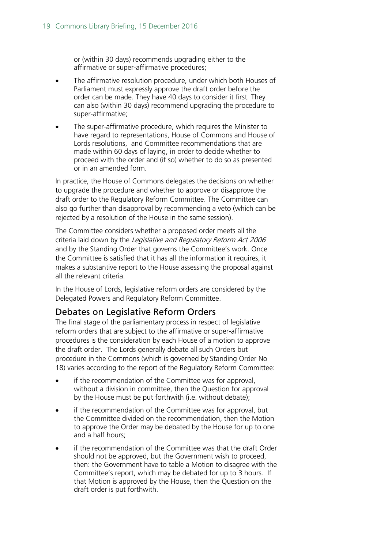or (within 30 days) recommends upgrading either to the affirmative or super-affirmative procedures;

- The affirmative resolution procedure, under which both Houses of Parliament must expressly approve the draft order before the order can be made. They have 40 days to consider it first. They can also (within 30 days) recommend upgrading the procedure to super-affirmative;
- The super-affirmative procedure, which requires the Minister to have regard to representations, House of Commons and House of Lords resolutions, and Committee recommendations that are made within 60 days of laying, in order to decide whether to proceed with the order and (if so) whether to do so as presented or in an amended form.

In practice, the House of Commons delegates the decisions on whether to upgrade the procedure and whether to approve or disapprove the draft order to the Regulatory Reform Committee. The Committee can also go further than disapproval by recommending a veto (which can be rejected by a resolution of the House in the same session).

The Committee considers whether a proposed order meets all the criteria laid down by the Legislative and Regulatory Reform Act 2006 and by the Standing Order that governs the Committee's work. Once the Committee is satisfied that it has all the information it requires, it makes a substantive report to the House assessing the proposal against all the relevant criteria.

In the House of Lords, legislative reform orders are considered by the Delegated Powers and Regulatory Reform Committee.

#### <span id="page-18-0"></span>Debates on Legislative Reform Orders

The final stage of the parliamentary process in respect of legislative reform orders that are subject to the affirmative or super-affirmative procedures is the consideration by each House of a motion to approve the draft order. The Lords generally debate all such Orders but procedure in the Commons (which is governed by Standing Order No 18) varies according to the report of the Regulatory Reform Committee:

- if the recommendation of the Committee was for approval, without a division in committee, then the Question for approval by the House must be put forthwith (i.e. without debate);
- if the recommendation of the Committee was for approval, but the Committee divided on the recommendation, then the Motion to approve the Order may be debated by the House for up to one and a half hours;
- if the recommendation of the Committee was that the draft Order should not be approved, but the Government wish to proceed, then: the Government have to table a Motion to disagree with the Committee's report, which may be debated for up to 3 hours. If that Motion is approved by the House, then the Question on the draft order is put forthwith.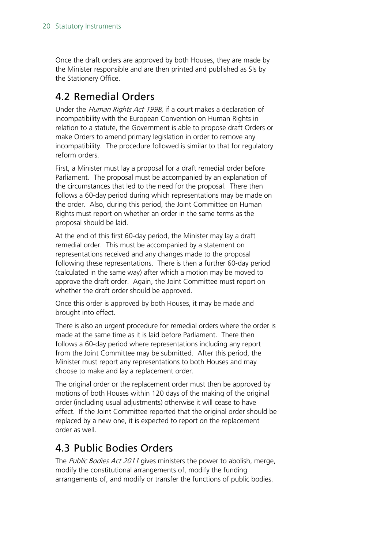Once the draft orders are approved by both Houses, they are made by the Minister responsible and are then printed and published as SIs by the Stationery Office.

## <span id="page-19-0"></span>4.2 Remedial Orders

Under the Human Rights Act 1998, if a court makes a declaration of incompatibility with the European Convention on Human Rights in relation to a statute, the Government is able to propose draft Orders or make Orders to amend primary legislation in order to remove any incompatibility. The procedure followed is similar to that for regulatory reform orders.

First, a Minister must lay a proposal for a draft remedial order before Parliament. The proposal must be accompanied by an explanation of the circumstances that led to the need for the proposal. There then follows a 60-day period during which representations may be made on the order. Also, during this period, the Joint Committee on Human Rights must report on whether an order in the same terms as the proposal should be laid.

At the end of this first 60-day period, the Minister may lay a draft remedial order. This must be accompanied by a statement on representations received and any changes made to the proposal following these representations. There is then a further 60-day period (calculated in the same way) after which a motion may be moved to approve the draft order. Again, the Joint Committee must report on whether the draft order should be approved.

Once this order is approved by both Houses, it may be made and brought into effect.

There is also an urgent procedure for remedial orders where the order is made at the same time as it is laid before Parliament. There then follows a 60-day period where representations including any report from the Joint Committee may be submitted. After this period, the Minister must report any representations to both Houses and may choose to make and lay a replacement order.

The original order or the replacement order must then be approved by motions of both Houses within 120 days of the making of the original order (including usual adjustments) otherwise it will cease to have effect. If the Joint Committee reported that the original order should be replaced by a new one, it is expected to report on the replacement order as well.

## <span id="page-19-1"></span>4.3 Public Bodies Orders

The *Public Bodies Act 2011* gives ministers the power to abolish, merge, modify the constitutional arrangements of, modify the funding arrangements of, and modify or transfer the functions of public bodies.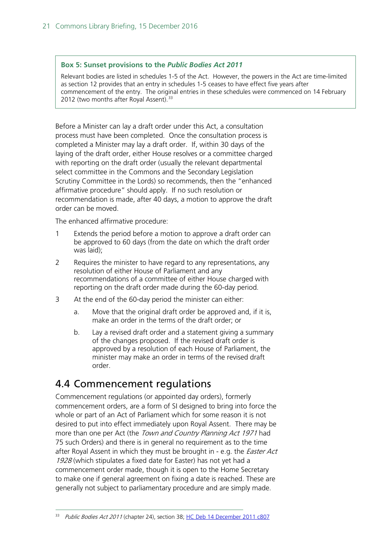#### **Box 5: Sunset provisions to the** *Public Bodies Act 2011*

Relevant bodies are listed in schedules 1-5 of the Act. However, the powers in the Act are time-limited as section 12 provides that an entry in schedules 1-5 ceases to have effect five years after commencement of the entry. The original entries in these schedules were commenced on 14 February 2012 (two months after Royal Assent).<sup>[33](#page-20-1)</sup>

Before a Minister can lay a draft order under this Act, a consultation process must have been completed. Once the consultation process is completed a Minister may lay a draft order. If, within 30 days of the laying of the draft order, either House resolves or a committee charged with reporting on the draft order (usually the relevant departmental select committee in the Commons and the Secondary Legislation Scrutiny Committee in the Lords) so recommends, then the "enhanced affirmative procedure" should apply. If no such resolution or recommendation is made, after 40 days, a motion to approve the draft order can be moved.

The enhanced affirmative procedure:

- 1 Extends the period before a motion to approve a draft order can be approved to 60 days (from the date on which the draft order was laid);
- 2 Requires the minister to have regard to any representations, any resolution of either House of Parliament and any recommendations of a committee of either House charged with reporting on the draft order made during the 60-day period.
- 3 At the end of the 60-day period the minister can either:
	- a. Move that the original draft order be approved and, if it is, make an order in the terms of the draft order; or
	- b. Lay a revised draft order and a statement giving a summary of the changes proposed. If the revised draft order is approved by a resolution of each House of Parliament, the minister may make an order in terms of the revised draft order.

#### <span id="page-20-0"></span>4.4 Commencement regulations

Commencement regulations (or appointed day orders), formerly commencement orders, are a form of SI designed to bring into force the whole or part of an Act of Parliament which for some reason it is not desired to put into effect immediately upon Royal Assent. There may be more than one per Act (the *Town and Country Planning Act 1971* had 75 such Orders) and there is in general no requirement as to the time after Royal Assent in which they must be brought in - e.g. the *Easter Act* 1928 (which stipulates a fixed date for Easter) has not yet had a commencement order made, though it is open to the Home Secretary to make one if general agreement on fixing a date is reached. These are generally not subject to parliamentary procedure and are simply made.

<span id="page-20-1"></span><sup>&</sup>lt;sup>33</sup> Public Bodies Act 2011 (chapter 24), section 38; [HC Deb 14 December 2011 c807](http://www.publications.parliament.uk/pa/cm201011/cmhansrd/cm111214/debtext/111214-0001.htm#11121472000015)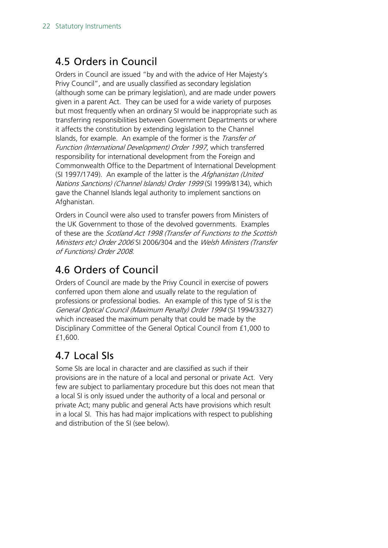## <span id="page-21-0"></span>4.5 Orders in Council

Orders in Council are issued "by and with the advice of Her Majesty's Privy Council", and are usually classified as secondary legislation (although some can be primary legislation), and are made under powers given in a parent Act. They can be used for a wide variety of purposes but most frequently when an ordinary SI would be inappropriate such as transferring responsibilities between Government Departments or where it affects the constitution by extending legislation to the Channel Islands, for example. An example of the former is the *Transfer of* Function (International Development) Order 1997, which transferred responsibility for international development from the Foreign and Commonwealth Office to the Department of International Development (SI 1997/1749). An example of the latter is the Afghanistan (United Nations Sanctions) (Channel Islands) Order 1999 (SI 1999/8134), which gave the Channel Islands legal authority to implement sanctions on Afghanistan.

Orders in Council were also used to transfer powers from Ministers of the UK Government to those of the devolved governments. Examples of these are the Scotland Act 1998 (Transfer of Functions to the Scottish Ministers etc) Order 2006 SI 2006/304 and the Welsh Ministers (Transfer of Functions) Order 2008.

## <span id="page-21-1"></span>4.6 Orders of Council

Orders of Council are made by the Privy Council in exercise of powers conferred upon them alone and usually relate to the regulation of professions or professional bodies. An example of this type of SI is the General Optical Council (Maximum Penalty) Order 1994 (SI 1994/3327) which increased the maximum penalty that could be made by the Disciplinary Committee of the General Optical Council from £1,000 to £1,600.

## <span id="page-21-2"></span>4.7 Local SIs

Some SIs are local in character and are classified as such if their provisions are in the nature of a local and personal or private Act. Very few are subject to parliamentary procedure but this does not mean that a local SI is only issued under the authority of a local and personal or private Act; many public and general Acts have provisions which result in a local SI. This has had major implications with respect to publishing and distribution of the SI (see below).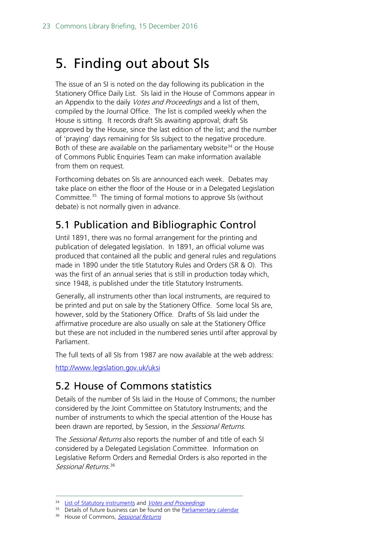# <span id="page-22-0"></span>5. Finding out about SIs

The issue of an SI is noted on the day following its publication in the Stationery Office Daily List. SIs laid in the House of Commons appear in an Appendix to the daily Votes and Proceedings and a list of them, compiled by the Journal Office. The list is compiled weekly when the House is sitting. It records draft SIs awaiting approval; draft SIs approved by the House, since the last edition of the list; and the number of 'praying' days remaining for SIs subject to the negative procedure. Both of these are available on the parliamentary website<sup>[34](#page-22-3)</sup> or the House of Commons Public Enquiries Team can make information available from them on request.

Forthcoming debates on SIs are announced each week. Debates may take place on either the floor of the House or in a Delegated Legislation Committee.[35](#page-22-4) The timing of formal motions to approve SIs (without debate) is not normally given in advance.

## <span id="page-22-1"></span>5.1 Publication and Bibliographic Control

Until 1891, there was no formal arrangement for the printing and publication of delegated legislation. In 1891, an official volume was produced that contained all the public and general rules and regulations made in 1890 under the title Statutory Rules and Orders (SR & O). This was the first of an annual series that is still in production today which, since 1948, is published under the title Statutory Instruments.

Generally, all instruments other than local instruments, are required to be printed and put on sale by the Stationery Office. Some local SIs are, however, sold by the Stationery Office. Drafts of SIs laid under the affirmative procedure are also usually on sale at the Stationery Office but these are not included in the numbered series until after approval by Parliament.

The full texts of all SIs from 1987 are now available at the web address:

<http://www.legislation.gov.uk/uksi>

## <span id="page-22-2"></span>5.2 House of Commons statistics

Details of the number of SIs laid in the House of Commons; the number considered by the Joint Committee on Statutory Instruments; and the number of instruments to which the special attention of the House has been drawn are reported, by Session, in the Sessional Returns.

The *Sessional Returns* also reports the number of and title of each SI considered by a Delegated Legislation Committee. Information on Legislative Reform Orders and Remedial Orders is also reported in the Sessional Returns. [36](#page-22-5)

<span id="page-22-5"></span><span id="page-22-4"></span><span id="page-22-3"></span><sup>35</sup> Details of future business can be found on the **Parliamentary calendar** 

<sup>&</sup>lt;sup>34</sup> [List of Statutory instruments](http://www.publications.parliament.uk/pa/cm/cmsilist/cmsilist.htm) and [Votes and Proceedings](http://www.parliament.uk/business/publications/business-papers/commons/votes-and-proceedings/#session=62738&year=2012&month=10&day=13)

<sup>&</sup>lt;sup>36</sup> House of Commons, [Sessional Returns](http://www.publications.parliament.uk/pa/cm/cmsesret.htm)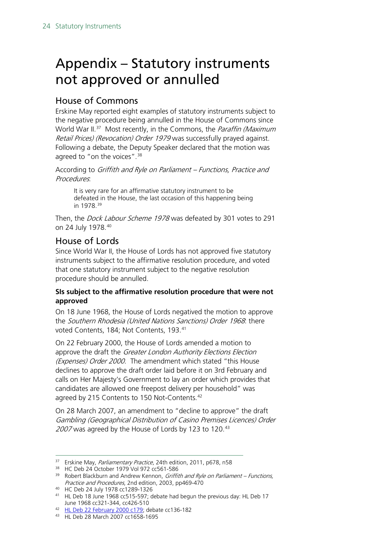# <span id="page-23-0"></span>Appendix – Statutory instruments not approved or annulled

#### <span id="page-23-1"></span>House of Commons

Erskine May reported eight examples of statutory instruments subject to the negative procedure being annulled in the House of Commons since World War II.<sup>[37](#page-23-3)</sup> Most recently, in the Commons, the *Paraffin (Maximum* Retail Prices) (Revocation) Order 1979 was successfully prayed against. Following a debate, the Deputy Speaker declared that the motion was agreed to "on the voices".<sup>[38](#page-23-4)</sup>

According to Griffith and Ryle on Parliament - Functions, Practice and Procedures:

It is very rare for an affirmative statutory instrument to be defeated in the House, the last occasion of this happening being in 1978.[39](#page-23-5)

Then, the *Dock Labour Scheme 1978* was defeated by 301 votes to 291 on 24 July 1978.[40](#page-23-6)

#### <span id="page-23-2"></span>House of Lords

Since World War II, the House of Lords has not approved five statutory instruments subject to the affirmative resolution procedure, and voted that one statutory instrument subject to the negative resolution procedure should be annulled.

#### **SIs subject to the affirmative resolution procedure that were not approved**

On 18 June 1968, the House of Lords negatived the motion to approve the Southern Rhodesia (United Nations Sanctions) Order 1968. there voted Contents, 184; Not Contents, 193.<sup>[41](#page-23-7)</sup>

On 22 February 2000, the House of Lords amended a motion to approve the draft the Greater London Authority Elections Election (Expenses) Order 2000. The amendment which stated "this House declines to approve the draft order laid before it on 3rd February and calls on Her Majesty's Government to lay an order which provides that candidates are allowed one freepost delivery per household" was agreed by 215 Contents to 150 Not-Contents.<sup>[42](#page-23-8)</sup>

On 28 March 2007, an amendment to "decline to approve" the draft Gambling (Geographical Distribution of Casino Premises Licences) Order 2007 was agreed by the House of Lords by 123 to 120.[43](#page-23-9)

<span id="page-23-6"></span><sup>40</sup> HC Deb 24 July 1978 cc1289-1326

<span id="page-23-3"></span><sup>&</sup>lt;sup>37</sup> Erskine May, Parliamentary Practice, 24th edition, 2011, p678, n58

<span id="page-23-4"></span><sup>38</sup> HC Deb 24 October 1979 Vol 972 cc561-586

<span id="page-23-5"></span> $39$  Robert Blackburn and Andrew Kennon, *Griffith and Ryle on Parliament – Functions*, Practice and Procedures, 2nd edition, 2003, pp469-470

<span id="page-23-7"></span><sup>41</sup> HL Deb 18 June 1968 cc515-597; debate had begun the previous day: HL Deb 17 June 1968 cc321-344, cc426-510

<span id="page-23-8"></span><sup>42</sup> [HL Deb 22 February 2000 c179;](http://www.publications.parliament.uk/pa/ld199900/ldhansrd/vo000222/text/00222-13.htm#00222-13_time1) debate cc136-182

<span id="page-23-9"></span><sup>43</sup> HL Deb 28 March 2007 cc1658-1695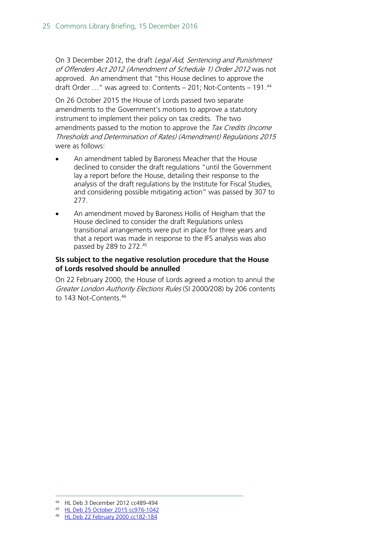On 3 December 2012, the draft Legal Aid, Sentencing and Punishment of Offenders Act 2012 (Amendment of Schedule 1) Order 2012 was not approved. An amendment that "this House declines to approve the draft Order  $\ldots$ " was agreed to: Contents – 201; Not-Contents – 191. $44$ 

On 26 October 2015 the House of Lords passed two separate amendments to the Government's motions to approve a statutory instrument to implement their policy on tax credits. The two amendments passed to the motion to approve the Tax Credits (Income Thresholds and Determination of Rates) (Amendment) Regulations 2015 were as follows:

- An amendment tabled by Baroness Meacher that the House declined to consider the draft regulations "until the Government lay a report before the House, detailing their response to the analysis of the draft regulations by the Institute for Fiscal Studies, and considering possible mitigating action" was passed by 307 to 277.
- An amendment moved by Baroness Hollis of Heigham that the House declined to consider the draft Regulations unless transitional arrangements were put in place for three years and that a report was made in response to the IFS analysis was also passed by 289 to 272.[45](#page-24-1)

#### **SIs subject to the negative resolution procedure that the House of Lords resolved should be annulled**

On 22 February 2000, the House of Lords agreed a motion to annul the Greater London Authority Elections Rules (SI 2000/208) by 206 contents to 143 Not-Contents.<sup>46</sup>

 <sup>44</sup> HL Deb 3 December 2012 cc489-494

<span id="page-24-2"></span><span id="page-24-1"></span><span id="page-24-0"></span><sup>45</sup> [HL Deb 25 October 2015 cc976-1042](http://www.publications.parliament.uk/pa/ld201516/ldhansrd/text/151026-0001.htm#1510269000354)

<sup>46</sup> [HL Deb 22 February 2000 cc182-184](http://www.publications.parliament.uk/pa/ld199900/ldhansrd/vo000222/text/00222-14.htm#00222-14_head0)